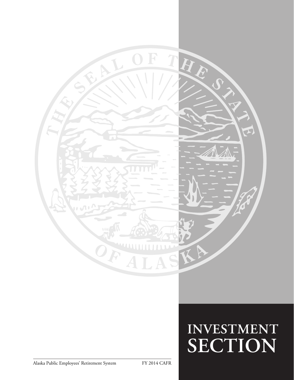

# $INVESTMENT$ **SECTION**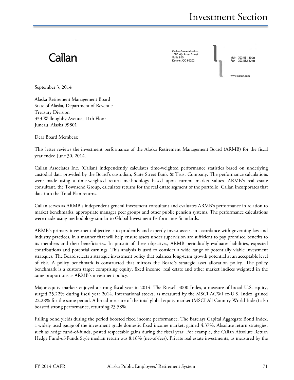## Callan

Callan Associates Inc. 1660 Wynkoop Street<br>Suite 950 Denver, CO 80202

Main 303.861.1900

ww.callan.com

September 3, 2014

Alaska Retirement Management Board State of Alaska, Department of Revenue Treasury Division 333 Willoughby Avenue, 11th Floor Juneau, Alaska 99801

Dear Board Members:

This letter reviews the investment performance of the Alaska Retirement Management Board (ARMB) for the fiscal year ended June 30, 2014.

Callan Associates Inc. (Callan) independently calculates time-weighted performance statistics based on underlying custodial data provided by the Board's custodian, State Street Bank & Trust Company. The performance calculations were made using a time-weighted return methodology based upon current market values. ARMB's real estate consultant, the Townsend Group, calculates returns for the real estate segment of the portfolio. Callan incorporates that data into the Total Plan returns.

Callan serves as ARMB's independent general investment consultant and evaluates ARMB's performance in relation to market benchmarks, appropriate manager peer groups and other public pension systems. The performance calculations were made using methodology similar to Global Investment Performance Standards.

ARMB's primary investment objective is to prudently and expertly invest assets, in accordance with governing law and industry practices, in a manner that will help ensure assets under supervision are sufficient to pay promised benefits to its members and their beneficiaries. In pursuit of these objectives, ARMB periodically evaluates liabilities, expected contributions and potential earnings. This analysis is used to consider a wide range of potentially viable investment strategies. The Board selects a strategic investment policy that balances long-term growth potential at an acceptable level of risk. A policy benchmark is constructed that mirrors the Board's strategic asset allocation policy. The policy benchmark is a custom target comprising equity, fixed income, real estate and other market indices weighted in the same proportions as ARMB's investment policy.

Major equity markets enjoyed a strong fiscal year in 2014. The Russell 3000 Index, a measure of broad U.S. equity, surged 25.22% during fiscal year 2014. International stocks, as measured by the MSCI ACWI ex-U.S. Index, gained 22.28% for the same period. A broad measure of the total global equity market (MSCI All Country World Index) also boasted strong performance, returning 23.58%.

Falling bond yields during the period boosted fixed income performance. The Barclays Capital Aggregate Bond Index, a widely used gauge of the investment grade domestic fixed income market, gained 4.37%. Absolute return strategies, such as hedge fund-of-funds, posted respectable gains during the fiscal year. For example, the Callan Absolute Return Hedge Fund-of-Funds Style median return was 8.16% (net-of-fees). Private real estate investments, as measured by the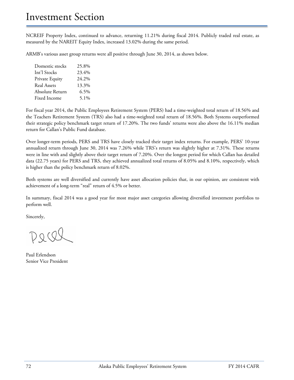NCREIF Property Index, continued to advance, returning 11.21% during fiscal 2014. Publicly traded real estate, as measured by the NAREIT Equity Index, increased 13.02% during the same period.

ARMB's various asset group returns were all positive through June 30, 2014, as shown below.

| Domestic stocks    | 25.8%   |
|--------------------|---------|
| Int'l Stocks       | 23.4%   |
| Private Equity     | 24.2%   |
| <b>Real Assets</b> | 13.3%   |
| Absolute Return    | 6.5%    |
| Fixed Income       | $5.1\%$ |
|                    |         |

For fiscal year 2014, the Public Employees Retirement System (PERS) had a time-weighted total return of 18.56% and the Teachers Retirement System (TRS) also had a time-weighted total return of 18.56%. Both Systems outperformed their strategic policy benchmark target return of 17.20%. The two funds' returns were also above the 16.11% median return for Callan's Public Fund database.

Over longer-term periods, PERS and TRS have closely tracked their target index returns. For example, PERS' 10-year annualized return through June 30, 2014 was 7.26% while TRS's return was slightly higher at 7.31%. These returns were in line with and slightly above their target return of 7.20%. Over the longest period for which Callan has detailed data (22.75 years) for PERS and TRS, they achieved annualized total returns of 8.05% and 8.10%, respectively, which is higher than the policy benchmark return of 8.02%.

Both systems are well diversified and currently have asset allocation policies that, in our opinion, are consistent with achievement of a long-term "real" return of 4.5% or better.

In summary, fiscal 2014 was a good year for most major asset categories allowing diversified investment portfolios to perform well.

Sincerely,

Paul Erlendson Senior Vice President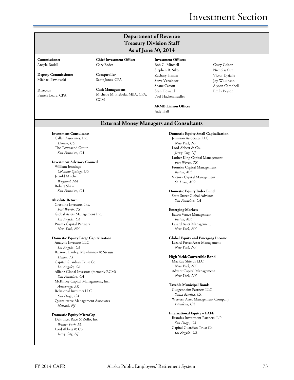## Investment Section

## **Department of Revenue Treasury Division Staff As of June 30, 2014**

**Commissioner**

Angela Rodell

**Deputy Commissioner** Michael Pawlowski

**Director** Pamela Leary, CPA **Comptroller** Scott Jones, CPA

Gary Bader

**Cash Management** Michelle M. Prebula, MBA, CPA, CCM

**Chief Investment Officer**

**Investment Officers** Bob G. Mitchell Stephen R. Sikes Zachary Hanna Steve Verschoor Shane Carson Sean Howard Paul Hackenmueller

**ARMB Liaison Officer** Judy Hall

Casey Colton Nicholas Orr Victor Djajalie Joy Wilkinson Alyson Campbell Emily Peyton

### **External Money Managers and Consultants**

**Investment Consultants** Callan Associates, Inc.

*Denver, CO* The Townsend Group *San Francisco, CA*

#### **Investment Advisory Council**

William Jennings *Colorado Springs, CO* Jerrold Mitchell *Wayland, MA* Robert Shaw *San Francisco, CA*

#### **Absolute Return**

Crestline Investors, Inc. *Fort Worth, TX* Global Assets Management Inc. *Los Angeles, CA* Prisma Capital Partners *New York, NY*

#### **Domestic Equity Large Capitalization**

Analytic Investors LLC *Los Angeles, CA* Barrow, Hanley, Mewhinney & Strauss *Dallas, TX* Capital Guardian Trust Co. *Los Angeles, CA* Allianz Global Investors (formerly RCM) *San Francisco, CA* McKinley Capital Management, Inc. *Anchorage, AK* Relational Investors LLC *San Diego, CA* Quantitative Management Associates *Newark, NJ*

#### **Domestic Equity MicroCap**

DePrince, Race & Zollo, Inc. *Winter Park, FL* Lord Abbett & Co. *Jersey City, NJ*

**Domestic Equity Small Capitalization** Jennison Associates LLC *New York, NY* Lord Abbett & Co. *Jersey City, NJ* Luther King Capital Management *Fort Worth, TX* Frontier Capital Management *Boston, MA* Victory Capital Management *St. Louis, MO*

#### **Domestic Equity Index Fund** State Street Global Advisors

*San Francisco, CA*

#### **Emerging Markets**

Eaton Vance Management *Boston, MA* Lazard Asset Management *New York, NY*

#### **Global Equity and Emerging Income**

Lazard Freres Asset Management *New York, NY*

#### **High Yield/Convertible Bond**

MacKay Shields LLC *New York, NY* Advent Capital Management *New York, NY*

#### **Taxable Municipal Bonds**

Guggenheim Partners LLC *Santa Monica, CA* Western Asset Management Company *Pasadena, CA*

#### **International Equity – EAFE**

Brandes Investment Partners, L.P. *San Diego, CA* Capital Guardian Trust Co. *Los Angeles, CA*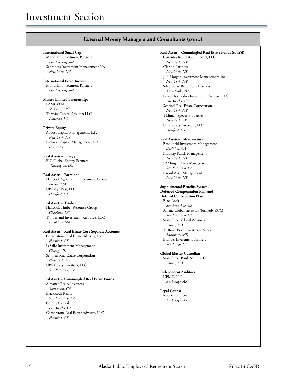### **External Money Managers and Consultants (cont.)**

#### **International Small Cap**

Mondrian Investment Partners *London, England* Schroders Investment Management NA *New York, NY*

#### **International Fixed Income** Mondrian Investment Partners

*London, England*

#### **Master Limited Partnerships**

FAMCO MLP *St. Louis, MO* Tortoise Capital Advisors LLC *Leawood, KS*

#### **Private Equity**

Abbott Capital Management, L.P. *New York, NY* Pathway Capital Management, LLC *Irvine, CA*

#### **Real Assets – Energy**

EIG Global Energy Partners *Washington, DC*

#### **Real Assets – Farmland**

Hancock Agricultural Investment Group *Boston, MA* UBS AgriVest, LLC *Hartford, CT*

#### **Real Assets – Timber**

Hancock Timber Resource Group *Charlotte, NC* Timberland Investment Resources LLC *Brookline, MA*

#### **Real Assets – Real Estate Core Separate Accounts**

Cornerstone Real Estate Advisers, Inc. *Hartford, CT* LaSalle Investment Management *Chicago, IL* Sentinel Real Estate Corporation *New York, NY* UBS Realty Investors, LLC *San Francisco, CA*

#### **Real Assets – Commingled Real Estate Funds**

Almanac Realty Investors *Alpharetta, GA* BlackRock Realty *San Francisco, CA* Colony Capital *Los Angeles, CA* Cornerstone Real Estate Advisers, LLC *Hartford, CT*

**Real Assets – Commingled Real Estate Funds (cont'd)** Coventry Real Estate Fund II, LLC *New York, NY* Clarion Partners *New York, NY* J.P. Morgan Investment Management Inc. *New York, NY* Silverpeake Real Estate Partners New York, NY Lowe Hospitality Investment Partners, LLC *Los Angeles, CA* Sentinel Real Estate Corporation *New York, NY* Tishman Speyer Properties *New York NY* UBS Realty Investors, LLC *Hartford, CT*

#### **Real Assets – Infrastructure**

Brookfield Investment Management *Encinitas, CA* Industry Funds Management *New York, NY* JP Morgan Asset Management *San Francisco, CA* Lazard Asset Management *New York, NY*

#### **Supplemental Benefits System,**

**Deferred Compensation Plan and Defined Contribution Plan** BlackRock *San Francisco, CA* Allianz Global Investors (formerly RCM) *San Francisco, CA* State Street Global Advisors *Boston, MA* T. Rowe Price Investment Services *Baltimore, MD* Brandes Investment Partners *San Diego, CA* 

#### **Global Master Custodian** State Street Bank & Trust Co. *Boston, MA*

**Independent Auditors** KPMG, LLP *Anchorage, AK*

#### **Legal Counsel** Robert Johnson *Anchorage, AK*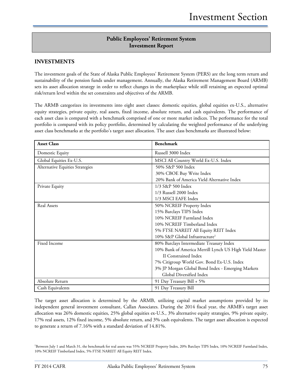## **Public Employees' Retirement System Investment Report**

## **INVESTMENTS**

The investment goals of the State of Alaska Public Employees' Retirement System (PERS) are the long term return and sustainability of the pension funds under management. Annually, the Alaska Retirement Management Board (ARMB) sets its asset allocation strategy in order to reflect changes in the marketplace while still retaining an expected optimal risk/return level within the set constraints and objectives of the ARMB.

The ARMB categorizes its investments into eight asset classes: domestic equities, global equities ex-U.S., alternative equity strategies, private equity, real assets, fixed income, absolute return, and cash equivalents. The performance of each asset class is compared with a benchmark comprised of one or more market indices. The performance for the total portfolio is compared with its policy portfolio, determined by calculating the weighted performance of the underlying asset class benchmarks at the portfolio's target asset allocation. The asset class benchmarks are illustrated below:

| <b>Asset Class</b>              | <b>Benchmark</b>                                       |  |
|---------------------------------|--------------------------------------------------------|--|
| Domestic Equity                 | Russell 3000 Index                                     |  |
| Global Equities Ex-U.S.         | MSCI All Country World Ex-U.S. Index                   |  |
| Alternative Equities Strategies | 50% S&P 500 Index                                      |  |
|                                 | 30% CBOE Buy Write Index                               |  |
|                                 | 20% Bank of America Yield Alternative Index            |  |
| Private Equity                  | 1/3 S&P 500 Index                                      |  |
|                                 | 1/3 Russell 2000 Index                                 |  |
|                                 | 1/3 MSCI EAFE Index                                    |  |
| <b>Real Assets</b>              | 50% NCREIF Property Index                              |  |
|                                 | 15% Barclays TIPS Index                                |  |
|                                 | 10% NCREIF Farmland Index                              |  |
|                                 | 10% NCREIF Timberland Index                            |  |
|                                 | 5% FTSE NAREIT All Equity REIT Index                   |  |
|                                 | 10% S&P Global Infrastructure <sup>1</sup>             |  |
| Fixed Income                    | 80% Barclays Intermediate Treasury Index               |  |
|                                 | 10% Bank of America Merrill Lynch US High Yield Master |  |
|                                 | II Constrained Index                                   |  |
|                                 | 7% Citigroup World Gov. Bond Ex-U.S. Index             |  |
|                                 | 3% JP Morgan Global Bond Index - Emerging Markets      |  |
|                                 | Global Diversified Index                               |  |
| Absolute Return                 | 91 Day Treasury Bill + 5%                              |  |
| Cash Equivalents                | 91 Day Treasury Bill                                   |  |

The target asset allocation is determined by the ARMB, utilizing capital market assumptions provided by its independent general investment consultant, Callan Associates. During the 2014 fiscal year, the ARMB's target asset allocation was 26% domestic equities, 25% global equities ex-U.S., 3% alternative equity strategies, 9% private equity, 17% real assets, 12% fixed income, 5% absolute return, and 3% cash equivalents. The target asset allocation is expected to generate a return of 7.16% with a standard deviation of 14.81%.

<sup>1</sup>Between July 1 and March 31, the benchmark for real assets was 55% NCREIF Property Index, 20% Barclays TIPS Index, 10% NCREIF Farmland Index, 10% NCREIF Timberland Index, 5% FTSE NAREIT All Equity REIT Index.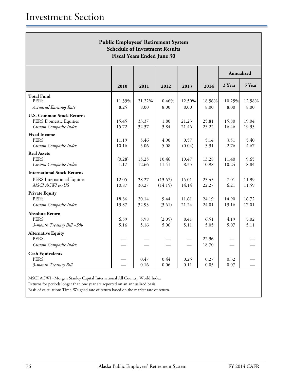| <b>Public Employees' Retirement System</b><br><b>Schedule of Investment Results</b><br><b>Fiscal Years Ended June 30</b> |                |                |                    |                |                |                |                |
|--------------------------------------------------------------------------------------------------------------------------|----------------|----------------|--------------------|----------------|----------------|----------------|----------------|
|                                                                                                                          |                |                |                    |                |                | Annualized     |                |
|                                                                                                                          | 2010           | 2011           | 2012               | 2013           | 2014           | 3 Year         | 5 Year         |
| <b>Total Fund</b><br><b>PERS</b><br>Actuarial Earnings Rate                                                              | 11.39%<br>8.25 | 21.22%<br>8.00 | 0.46%<br>8.00      | 12.50%<br>8.00 | 18.56%<br>8.00 | 10.25%<br>8.00 | 12.58%<br>8.00 |
| <b>U.S. Common Stock Returns</b><br><b>PERS Domestic Equities</b><br>Custom Composite Index                              | 15.45<br>15.72 | 33.37<br>32.37 | 1.80<br>3.84       | 21.23<br>21.46 | 25.81<br>25.22 | 15.80<br>16.46 | 19.04<br>19.33 |
| <b>Fixed Income</b><br><b>PERS</b><br>Custom Composite Index                                                             | 11.19<br>10.16 | 5.46<br>5.06   | 4.90<br>5.08       | 0.57<br>(0.04) | 5.14<br>3.31   | 3.51<br>2.76   | 5.40<br>4.67   |
| <b>Real Assets</b><br><b>PERS</b><br>Custom Composite Index                                                              | (0.28)<br>1.17 | 15.25<br>12.66 | 10.46<br>11.41     | 10.47<br>8.35  | 13.28<br>10.98 | 11.40<br>10.24 | 9.65<br>8.84   |
| <b>International Stock Returns</b><br>PERS International Equities<br>MSCI ACWI ex-US                                     | 12.05<br>10.87 | 28.27<br>30.27 | (13.67)<br>(14.15) | 15.01<br>14.14 | 23.43<br>22.27 | 7.01<br>6.21   | 11.99<br>11.59 |
| <b>Private Equity</b><br><b>PERS</b><br>Custom Composite Index                                                           | 18.86<br>13.87 | 20.14<br>32.93 | 9.44<br>(3.61)     | 11.61<br>21.24 | 24.19<br>24.01 | 14.90<br>13.16 | 16.72<br>17.01 |
| <b>Absolute Return</b><br><b>PERS</b><br>3-month Treasury Bill +5%                                                       | 6.59<br>5.16   | 5.98<br>5.16   | (2.05)<br>5.06     | 8.41<br>5.11   | 6.51<br>5.05   | 4.19<br>5.07   | 5.02<br>5.11   |
| <b>Alternative Equity</b><br><b>PERS</b><br>Custom Composite Index                                                       |                |                |                    |                | 22.36<br>18.70 |                |                |
| <b>Cash Equivalents</b><br><b>PERS</b><br>3-month Treasury Bill                                                          |                | 0.47<br>0.16   | 0.44<br>0.06       | 0.25<br>0.11   | 0.27<br>0.05   | 0.32<br>0.07   |                |

MSCI ACWI =Morgan Stanley Capital International All Country World Index

Returns for periods longer than one year are reported on an annualized basis.

Basis of calculation: Time-Weighed rate of return based on the market rate of return.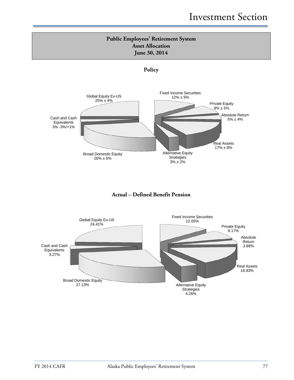





## **Actual – Defined Benefit Pension**

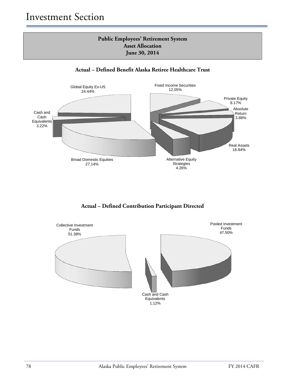## **Public Employees' Retirement System Asset Allocation June 30, 2014**





**Actual – Defined Contribution Participant Directed**

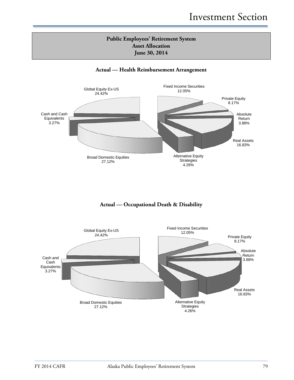## **Public Employees' Retirement System Asset Allocation June 30, 2014**

## **Actual — Health Reimbursement Arrangement**



## **Actual — Occupational Death & Disability**

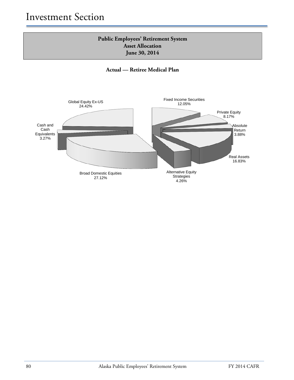## **Public Employees' Retirement System Asset Allocation June 30, 2014**

**Actual — Retiree Medical Plan**

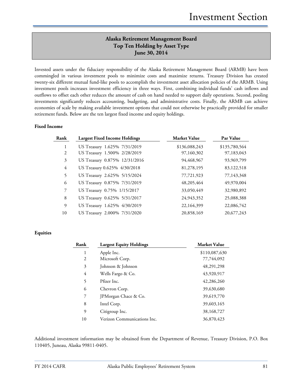## **Alaska Retirement Management Board Top Ten Holding by Asset Type June 30, 2014**

Invested assets under the fiduciary responsibility of the Alaska Retirement Management Board (ARMB) have been commingled in various investment pools to minimize costs and maximize returns. Treasury Division has created twenty-six different mutual fund-like pools to accomplish the investment asset allocation policies of the ARMB. Using investment pools increases investment efficiency in three ways. First, combining individual funds' cash inflows and outflows to offset each other reduces the amount of cash on hand needed to support daily operations. Second, pooling investments significantly reduces accounting, budgeting, and administrative costs. Finally, the ARMB can achieve economies of scale by making available investment options that could not otherwise be practically provided for smaller retirement funds. Below are the ten largest fixed income and equity holdings.

#### **Fixed Income**

| Rank           | <b>Largest Fixed Income Holdings</b> | <b>Market Value</b> | Par Value     |
|----------------|--------------------------------------|---------------------|---------------|
| 1              | US Treasury 1.625% 7/31/2019         | \$136,088,243       | \$135,780,564 |
| 2              | US Treasury 1.500% 2/28/2019         | 97,160,302          | 97,183,043    |
| 3              | US Treasury 0.875% 12/31/2016        | 94,468,967          | 93,969,799    |
| $\overline{4}$ | US Treasury 0.625% 4/30/2018         | 81,278,195          | 83,122,518    |
| 5              | US Treasury 2.625% 5/15/2024         | 77,721,923          | 77,143,348    |
| 6              | US Treasury 0.875% 7/31/2019         | 48,205,464          | 49,970,004    |
| $\overline{7}$ | US Treasury 0.75% 1/15/2017          | 33,050,449          | 32,980,892    |
| 8              | US Treasury 0.625% 5/31/2017         | 24,943,352          | 25,088,388    |
| 9              | US Treasury 1.625% 4/30/2019         | 22,164,399          | 22,086,742    |
| 10             | US Treasury 2.000% 7/31/2020         | 20,858,169          | 20,677,243    |

#### **Equities**

| Rank           | <b>Largest Equity Holdings</b> | <b>Market Value</b> |
|----------------|--------------------------------|---------------------|
| 1              | Apple Inc.                     | \$110,087,630       |
| $\overline{2}$ | Microsoft Corp.                | 77,744,092          |
| 3              | Johnson & Johnson              | 48,291,298          |
| 4              | Wells Fargo & Co.              | 43,920,917          |
| 5              | Pfizer Inc.                    | 42,286,260          |
| 6              | Chevron Corp.                  | 39,630,680          |
| 7              | JPMorgan Chace & Co.           | 39,619,770          |
| 8              | Intel Corp.                    | 39,603,165          |
| 9              | Citigroup Inc.                 | 38,168,727          |
| 10             | Verizon Communications Inc.    | 36,870,423          |

Additional investment information may be obtained from the Department of Revenue, Treasury Division, P.O. Box 110405, Juneau, Alaska 99811-0405.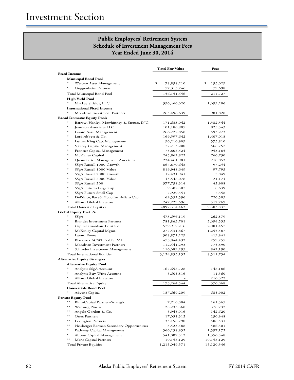## **Public Employees' Retirement System Schedule of Investment Management Fees Year Ended June 30, 2014**

|                                                    | Total Fair Value | Fees          |
|----------------------------------------------------|------------------|---------------|
| <b>Fixed Income</b>                                |                  |               |
| <b>Municipal Bond Pool</b>                         |                  |               |
| Western Asset Management                           | \$<br>78,838,210 | \$<br>135,029 |
| Guggenheim Partners                                | 77,313,246       | 79,698        |
| Total Municipal Bond Pool                          | 156,151,456      | 214,727       |
| High Yield Pool                                    |                  |               |
| Mackay Shields, LLC                                | 396,460,620      | 1,699,286     |
| <b>International Fixed Income</b>                  |                  |               |
| Mondrian Investment Partners                       | 265,496,639      | 981,828       |
| <b>Broad Domestic Equity Pools</b>                 |                  |               |
| $\ast$<br>Barrow, Hanley, Mewhinney & Strauss, INC | 171,633,042      | 1,382,344     |
| *<br>Jennison Associates LLC                       | 101,180,905      | 825,543       |
| *<br>Lazard Asset Management                       | 266,722,858      | 593,273       |
| ∗<br>Lord Abbett & Co.                             | 169,597,642      | 1,407,018     |
| Luther King Cap. Management                        | 96,210,909       | 575,810       |
| Victory Capital Management                         | 77,713,200       | 568,752       |
| ж<br>Frontier Capital Management                   | 75,808,524       | 953,185       |
| ∗<br>McKinley Capital                              | 245,862,822      | 766,730       |
| *<br>Quantitative Management Associates            | 234,461,981      | 710,853       |
| SSgA Russell 1000 Growth                           | 867,870,648      | 97,254        |
| *<br>SSgA Russell 1000 Value                       | 819,948,649      | 97,793        |
| SSgA Russell 2000 Growth                           | 12,431,941       | 5,849         |
| *<br>SSgA Russell 2000 Value                       | 45,548,078       | 21,174        |
| SSgA Russell 200                                   | 377,738,314      | 42,908        |
| SSgA Futures Large Cap                             | 9,382,307        | 8,639         |
| ∗<br>SSgA Future Small Cap                         | 7,920,351        | 7,358         |
| ∗<br>DePrince, Race& Zollo Inc.-Micro Cap          | 69,552,596       | 726,585       |
| Allianz Global Investors                           | 247,729,696      | 512,769       |
| Total Domestic Equities                            | 3,897,314,463    | 9,303,837     |
| <b>Global Equity Ex-U.S.</b>                       |                  |               |
| SSgA                                               | 473,696,119      | 262,879       |
| <b>Brandes Investment Partners</b>                 | 781,863,701      | 2,694,555     |
| Capital Guardian Trust Co.                         | 579,917,216      | 2,001,457     |
| McKinley Capital Mgmt.                             | 277,531,867      | 1,255,587     |
| Lazard Freres                                      | 308,871,229      | 419,941       |
| ∗<br>Blackrock ACWI Ex-US IMI                      | 473,844,432      | 259,255       |
| ∗<br>Mondrian Investment Partners                  | 112,441,293      | 775,890       |
| Schroder Investment Management                     | 116,689,295      | 842,190       |
| Total International Equities                       | 3,124,855,152    | 8,511,754     |
| <b>Alternative Equity Strategies</b>               |                  |               |
| <b>Alternative Equity Pool</b>                     |                  |               |
| Analytic SSgA Account                              | 167,658,728      | 148,186       |
| Analytic Buy Write Account                         | 5,605,816        | 11,560        |
| *<br>Allianz Global Investors                      |                  | 216,322       |
| Total Alternative Equity                           | 173,264,544      | 376,068       |
| <b>Convertible Bond Pool</b>                       |                  |               |
| Advent Capital                                     | 137,669,209      | 685,902       |
| <b>Private Equity Pool</b>                         |                  |               |
| $**$<br>BlumCapital Partners-Strategic             | 7,710,004        | 161,365       |
| **<br>Warburg Pincus                               | 28,233,368       | 378,732       |
| **<br>Angelo Gordon & Co.                          | 5,948,016        | 142,620       |
| **<br>Onex Partners                                | 17,051,312       | 230,948       |
| **<br>Lexington Partners                           | 35,158,790       | 508,531       |
| **<br>Neuberger Berman Secondary Opportunities     | 3,523,488        | 586,301       |
| ∗<br>Pathway Capital Management                    | 566,258,952      | 1,597,172     |
| ж<br>Abbott Capital Management                     | 541,007,512      | 1,356,548     |
| $**$<br>Merit Capital Partners                     | 10,158,129       | 10,158,129    |
| Total Private Equities                             | 1,215,049,571    | 15,120,346    |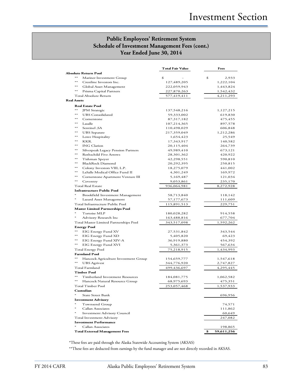## **Public Employees' Retirement System Schedule of Investment Management Fees (cont.) Year Ended June 30, 2014**

|                                              | <b>Total Fair Value</b> | Fees             |
|----------------------------------------------|-------------------------|------------------|
| Absolute Return Pool                         |                         |                  |
| $***$<br>Mariner Investment Group            | \$                      | \$<br>2,933      |
| $**$<br>Crestline Investors Inc.             | 127,489,205             | 1,222,104        |
| $***$<br>Global Asset Management             | 222,059,943             | 1,443,824        |
| $***$<br>Prisma Capital Partners             | 227,870,263             | 1,542,432        |
| Total Absolute Return                        | 577,419,411             | 4,211,293        |
| Real Assets                                  |                         |                  |
| <b>Real Estate Pool</b>                      |                         |                  |
| $**$<br><b>JPM</b> Strategic                 | 137,548,216             | 1,127,215        |
| $**$<br><b>UBS</b> Consolidated              | 59,333,002              | 619,830          |
| $**$<br>Cornerstone                          | 87,317,182              | 475,455          |
| $**$<br>Lasalle                              | 107,214,365             | 897,578          |
| $***$<br>Sentinel , SA                       | 110,498,029             | 606,848          |
| $***$<br><b>UBS</b> Separate                 | 217,359,049             | 1,212,286        |
| $***$<br>Lowe Hospitality                    | 1,654,423               | 25,549           |
| $***$<br>KKR.                                | 17,343,917              | 140,582          |
| $**$<br><b>ING</b> Clarion                   | 20,115,404              | 264,739          |
| $***$<br>Silverpeak Legacy Pension Partners  | 49,989,410              | 673,121          |
| $***$<br>Rothschild Five Arrows              | 28,301,362              | 420,922          |
| $***$<br>Tishman Speyer                      | 42,298,551              | 590,810          |
| $**$<br>BlackRock Diamond                    | 20,292,395              | 250,815          |
| $**$<br>Colony Investors VIII, L.P.          | 18,275,079              | 441,002          |
| LaSalle Medical Office Fund II<br>$**$       | 4,301,249               | 169,972          |
| $**$<br>Cornerstone Apartment Venture III    | 5,169,487               | 121,034          |
| $**$<br>Coventry                             | 9,053,861               | 235,170          |
| <b>Total Real Estate</b>                     | 936,064,981             | 8,272,928        |
| <b>Infrastructure Public Pool</b>            |                         |                  |
| Brookfield Investment Management             | 58,713,840              | 118,142          |
| Lazard Asset Management                      | 57,177,673              | 111,609          |
| Total Infrastructure Public Pool             | 115,891,513             | 229,751          |
| <b>Master Limited Partnerships Pool</b>      |                         |                  |
| $\ast$<br>Tortoise MLP                       | 180,028,282             | 914,558          |
| $\ast$<br>Advisory Research Inc              | 163,488,816             | 677,704          |
| Total Master Limited Partnerships Pool       | 343,517,098             | 1,592,262        |
| <b>Energy Pool</b>                           |                         |                  |
| $**$<br>EIG Energy Fund XV                   | 27,531,842              | 343,544          |
| $**$<br>EIG Energy Fund XD                   | 5,405,820               | 69,423           |
| $**$<br>EIG Energy Fund XIV-A                | 36,919,880              | 454,392          |
| $***$<br>EIG Energy Fund XVI                 | 5,361,373               | 567,634          |
| <b>Total Energy Pool</b>                     | 75,218,915              | 1,434,993        |
| <b>Farmland Pool</b>                         |                         |                  |
| $**$<br>Hancock Agriculture Investment Group | 154,659,777             | 1,547,618        |
| $***$<br><b>UBS</b> Agrivest                 | 344,776,920             | 2,747,827        |
| Total Farmland                               | 499,436,697             | 4,295,445        |
| <b>Timber Pool</b>                           |                         |                  |
| $**$<br>Timberland Investment Resources      | 184,081,775             | 1,062,582        |
| $**$<br>Hancock Natural Resource Group       | 68,975,693              | 475,351          |
| Total Timber Pool                            | 253,057,468             | 1,537,933        |
| Custodian                                    |                         |                  |
| <b>State Street Bank</b>                     |                         | 696,956          |
| <b>Investment Advisory</b>                   |                         |                  |
| $\ast$<br>Townsend Group                     |                         | 74,571           |
| $\ast$<br>Callan Associates                  |                         | 111,862          |
| <b>Investment Advisory Council</b>           |                         | 60,649           |
| <b>Total Investment Advisory</b>             |                         | 247,082          |
| <b>Investment Performance</b>                |                         |                  |
| Callan Associates                            |                         | 198,865          |
| <b>Total External Management Fees</b>        |                         | 59,611,256<br>\$ |

\*These fees are paid through the Alaska Statewide Accounting System (AKSAS)

\*\*These fees are deducted from earnings by the fund manager and are not directly recorded in AKSAS.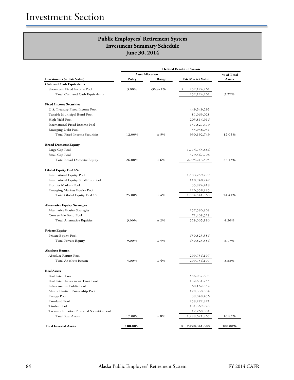|                                              | <b>Defined Benefit - Pension</b> |                         |                     |            |
|----------------------------------------------|----------------------------------|-------------------------|---------------------|------------|
|                                              |                                  | <b>Asset Allocation</b> |                     | % of Total |
| <b>Investments (at Fair Value)</b>           | Policy                           | Range                   | Fair Market Value   | Assets     |
| <b>Cash and Cash Equivalents</b>             |                                  |                         |                     |            |
| Short-term Fixed Income Pool                 | 3.00%                            | $-3\%/+1\%$             | \$<br>252,124,261   |            |
| Total Cash and Cash Equivalents              |                                  |                         | 252,124,261         | 3.27%      |
| <b>Fixed Income Securities</b>               |                                  |                         |                     |            |
| U.S. Treasury Fixed Income Pool              |                                  |                         | 449,549,295         |            |
| Taxable Municipal Bond Pool                  |                                  |                         | 81,063,028          |            |
| High Yield Pool                              |                                  |                         | 205,814,916         |            |
| International Fixed Income Pool              |                                  |                         | 137,827,479         |            |
| Emerging Debt Pool                           |                                  |                         | 55,938,031          |            |
| Total Fixed Income Securities                | 12.00%                           | $± 5\%$                 | 930,192,749         | 12.05%     |
| <b>Broad Domestic Equity</b>                 |                                  |                         |                     |            |
| Large Cap Pool                               |                                  |                         | 1,714,745,886       |            |
| Small Cap Pool                               |                                  |                         | 379,467,708         |            |
| Total Broad Domestic Equity                  | 26.00%                           | ± 6%                    | 2,094,213,594       | 27.13%     |
| Global Equity Ex-U.S.                        |                                  |                         |                     |            |
| International Equity Pool                    |                                  |                         | 1,503,259,799       |            |
| International Equity Small Cap Pool          |                                  |                         | 118,948,747         |            |
| Frontier Markets Pool                        |                                  |                         | 35,974,419          |            |
| <b>Emerging Markets Equity Pool</b>          |                                  |                         | 226,358,895         |            |
| Total Global Equity Ex-U.S.                  | 25.00%                           | ±4%                     | 1,884,541,860       | 24.41%     |
| <b>Alternative Equity Strategies</b>         |                                  |                         |                     |            |
| Alternative Equity Strategies                |                                  |                         | 257,596,868         |            |
| Convertible Bond Pool                        |                                  |                         | 71,468,328          |            |
| Total Alternative Equities                   | 3.00%                            | $± 2\%$                 | 329,065,196         | 4.26%      |
| <b>Private Equity</b>                        |                                  |                         |                     |            |
| Private Equity Pool                          |                                  |                         | 630,825,586         |            |
| <b>Total Private Equity</b>                  | 9.00%                            | $± 5\%$                 | 630,825,586         | 8.17%      |
| <b>Absolute Return</b>                       |                                  |                         |                     |            |
| Absolute Return Pool                         |                                  |                         | 299,756,197         |            |
| Total Absolute Return                        | 5.00%                            | ±4%                     | 299,756,197         | 3.88%      |
| <b>Real Assets</b>                           |                                  |                         |                     |            |
| Real Estate Pool                             |                                  |                         | 486,037,603         |            |
| Real Estate Investment Trust Pool            |                                  |                         | 132,631,755         |            |
| Infrastructure Public Pool                   |                                  |                         | 60,162,852          |            |
| Master Limited Partnership Pool              |                                  |                         | 178,330,304         |            |
| <b>Energy Pool</b>                           |                                  |                         | 39,048,456          |            |
| Farmland Pool                                |                                  |                         | 259,272,971         |            |
| Timber Pool                                  |                                  |                         | 131,369,923         |            |
| Treasury Inflation Protected Securities Pool |                                  |                         | 12,768,001          |            |
| <b>Total Real Assets</b>                     | 17.00%                           | $± 8\%$                 | 1,299,621,865       | 16.83%     |
| <b>Total Invested Assets</b>                 | 100.00%                          |                         | 7,720,341,308<br>\$ | 100.00%    |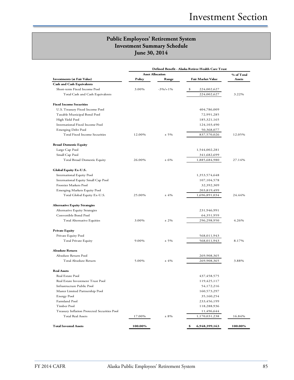|                                              | Defined Benefit - Alaska Retiree Health Care Trust |                         |                          |            |
|----------------------------------------------|----------------------------------------------------|-------------------------|--------------------------|------------|
|                                              |                                                    | <b>Asset Allocation</b> |                          | % of Total |
| <b>Investments (at Fair Value)</b>           | Policy                                             | Range                   | <b>Fair Market Value</b> | Assets     |
| <b>Cash and Cash Equivalents</b>             |                                                    |                         |                          |            |
| Short-term Fixed Income Pool                 | 3.00%                                              | $-3\%/+1\%$             | \$<br>224,002,627        |            |
| Total Cash and Cash Equivalents              |                                                    |                         | 224,002,627              | 3.22%      |
| <b>Fixed Income Securities</b>               |                                                    |                         |                          |            |
| U.S. Treasury Fixed Income Pool              |                                                    |                         | 404,786,009              |            |
| Taxable Municipal Bond Pool                  |                                                    |                         | 72,991,285               |            |
| High Yield Pool                              |                                                    |                         | 185,321,165              |            |
| International Fixed Income Pool              |                                                    |                         | 124,103,490              |            |
| Emerging Debt Pool                           |                                                    |                         | 50,368,077               |            |
| Total Fixed Income Securities                | 12.00%                                             | $± 5\%$                 | 837,570,026              | 12.05%     |
| <b>Broad Domestic Equity</b>                 |                                                    |                         |                          |            |
| Large Cap Pool                               |                                                    |                         | 1,544,002,281            |            |
| Small Cap Pool                               |                                                    |                         | 341,682,699              |            |
| <b>Total Broad Domestic Equity</b>           | 26.00%                                             | ± 6%                    | 1,885,684,980            | 27.14%     |
| Global Equity Ex-U.S.                        |                                                    |                         |                          |            |
| International Equity Pool                    |                                                    |                         | 1,353,574,648            |            |
| International Equity Small Cap Pool          |                                                    |                         | 107,104,578              |            |
| Frontier Markets Pool                        |                                                    |                         | 32,392,309               |            |
| <b>Emerging Markets Equity Pool</b>          |                                                    |                         | 203,819,499              |            |
| Total Global Equity Ex-U.S.                  | 25.00%                                             | ±4%                     | 1,696,891,034            | 24.44%     |
| <b>Alternative Equity Strategies</b>         |                                                    |                         |                          |            |
| Alternative Equity Strategies                |                                                    |                         | 231,946,991              |            |
| Convertible Bond Pool                        |                                                    |                         | 64,351,959               |            |
| Total Alternative Equities                   | 3.00%                                              | $± 2\%$                 | 296,298,950              | 4.26%      |
| <b>Private Equity</b>                        |                                                    |                         |                          |            |
| Private Equity Pool                          |                                                    |                         | 568,011,943              |            |
| Total Private Equity                         | 9.00%                                              | $± 5\%$                 | 568,011,943              | 8.17%      |
| <b>Absolute Return</b>                       |                                                    |                         |                          |            |
| Absolute Return Pool                         |                                                    |                         | 269,908,365              |            |
| Total Absolute Return                        | 5.00%                                              | $±4\%$                  | 269,908,365              | 3.88%      |
| <b>Real Assets</b>                           |                                                    |                         |                          |            |
| Real Estate Pool                             |                                                    |                         | 437,458,575              |            |
| Real Estate Investment Trust Pool            |                                                    |                         | 119,425,117              |            |
| Infrastructure Public Pool                   |                                                    |                         | 54,172,216               |            |
| Master Limited Partnership Pool              |                                                    |                         | 160,573,297              |            |
| <b>Energy Pool</b>                           |                                                    |                         | 35,160,254               |            |
| Farmland Pool                                |                                                    |                         | 233,456,199              |            |
| Timber Pool                                  |                                                    |                         | 118,288,936              |            |
| Treasury Inflation Protected Securities Pool |                                                    |                         | 11,496,644               |            |
| <b>Total Real Assets</b>                     | 17.00%                                             | $± 8\%$                 | 1,170,031,238            | 16.84%     |
| <b>Total Invested Assets</b>                 | 100.00%                                            |                         | \$<br>6,948,399,163      | 100.00%    |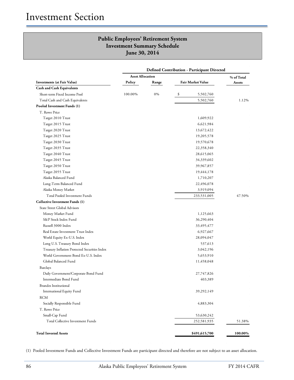| <b>Defined Contribution - Participant Directed</b> |                         |       |                          |            |
|----------------------------------------------------|-------------------------|-------|--------------------------|------------|
|                                                    | <b>Asset Allocation</b> |       |                          | % of Total |
| Investments (at Fair Value)                        | Policy                  | Range | <b>Fair Market Value</b> | Assets     |
| <b>Cash and Cash Equivalents</b>                   |                         |       |                          |            |
| Short-term Fixed Income Pool                       | 100.00%                 | 0%    | \$<br>5,502,760          |            |
| Total Cash and Cash Equivalents                    |                         |       | 5,502,760                | 1.12%      |
| Pooled Investment Funds (1)                        |                         |       |                          |            |
| T. Rowe Price                                      |                         |       |                          |            |
| Target 2010 Trust                                  |                         |       | 1,609,922                |            |
| Target 2015 Trust                                  |                         |       | 6,621,984                |            |
| Target 2020 Trust                                  |                         |       | 13,672,422               |            |
| Target 2025 Trust                                  |                         |       | 19,205,578               |            |
| Target 2030 Trust                                  |                         |       | 19,570,678               |            |
| Target 2035 Trust                                  |                         |       | 22,358,340               |            |
| Target 2040 Trust                                  |                         |       | 28,615,065               |            |
| Target 2045 Trust                                  |                         |       | 34,339,602               |            |
| Target 2050 Trust                                  |                         |       | 39,967,857               |            |
| Target 2055 Trust                                  |                         |       | 19,444,178               |            |
| Alaska Balanced Fund                               |                         |       | 1,710,207                |            |
| Long-Term Balanced Fund                            |                         |       | 22,496,078               |            |
| Alaska Money Market                                |                         |       | 3,919,094                |            |
| Total Pooled Investment Funds                      |                         |       | 233,531,005              | 47.50%     |
| <b>Collective Investment Funds (1)</b>             |                         |       |                          |            |
| <b>State Street Global Advisors</b>                |                         |       |                          |            |
| Money Market Fund                                  |                         |       | 1,125,663                |            |
| S&P Stock Index Fund                               |                         |       | 36,290,404               |            |
| Russell 3000 Index                                 |                         |       | 33,495,477               |            |
| Real Estate Investment Trust Index                 |                         |       | 6,927,667                |            |
| World Equity Ex-U.S. Index                         |                         |       | 28,094,047               |            |
| Long U.S. Treasury Bond Index                      |                         |       | 537,613                  |            |
| Treasury Inflation Protected Securities Index      |                         |       | 3,042,196                |            |
| World Government Bond Ex-U.S. Index                |                         |       | 5,653,910                |            |
| Global Balanced Fund                               |                         |       | 11,458,048               |            |
| <b>Barclays</b>                                    |                         |       |                          |            |
| Daily Government/Corporate Bond Fund               |                         |       | 27,747,826               |            |
| Intermediate Bond Fund                             |                         |       | 403,389                  |            |
| <b>Brandes Institutional</b>                       |                         |       |                          |            |
| International Equity Fund                          |                         |       | 39,292,149               |            |
| <b>RCM</b>                                         |                         |       |                          |            |
| Socially Responsible Fund                          |                         |       | 4,883,304                |            |
| T. Rowe Price                                      |                         |       |                          |            |
| Small-Cap Fund                                     |                         |       | 53,630,242               |            |
| Total Collective Investment Funds                  |                         |       | 252,581,935              | 51.38%     |
| <b>Total Invested Assets</b>                       |                         |       | \$491,615,700            | 100.00%    |

(1) Pooled Investment Funds and Collective Investment Funds are participant directed and therefore are not subject to an asset allocation.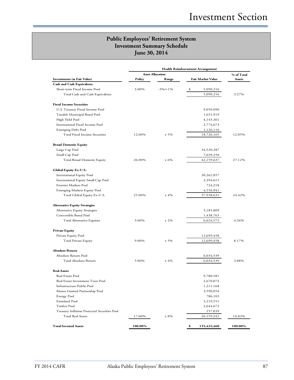|                                              |         | <b>Asset Allocation</b> |                   | % of Total |
|----------------------------------------------|---------|-------------------------|-------------------|------------|
| <b>Investments (at Fair Value)</b>           | Policy  | Range                   | Fair Market Value | Assets     |
| <b>Cash and Cash Equivalents</b>             |         |                         |                   |            |
| Short-term Fixed Income Pool                 | 3.00%   | $-3\%/+1\%$             | \$<br>5,090,216   |            |
| Total Cash and Cash Equivalents              |         |                         | 5,090,216         | 3.27%      |
| <b>Fixed Income Securities</b>               |         |                         |                   |            |
| U.S. Treasury Fixed Income Pool              |         |                         | 9,050,096         |            |
| Taxable Municipal Bond Pool                  |         |                         | 1,631,919         |            |
| High Yield Pool                              |         |                         | 4,143,361         |            |
| International Fixed Income Pool              |         |                         | 2,774,673         |            |
| Emerging Debt Pool                           |         |                         | 1,126,116         |            |
| Total Fixed Income Securities                | 12.00%  | $± 5\%$                 | 18,726,165        | 12.05%     |
| <b>Broad Domestic Equity</b>                 |         |                         |                   |            |
| Large Cap Pool                               |         |                         | 34,520,387        |            |
| Small Cap Pool                               |         |                         | 7,639,250         |            |
| <b>Total Broad Domestic Equity</b>           | 26.00%  | ± 6%                    | 42,159,637        | 27.12%     |
| Global Equity Ex-U.S.                        |         |                         |                   |            |
| International Equity Pool                    |         |                         | 30,262,857        |            |
| International Equity Small Cap Pool          |         |                         | 2,394,615         |            |
| Frontier Markets Pool                        |         |                         | 724,218           |            |
| Emerging Markets Equity Pool                 |         |                         | 4,556,941         |            |
| Total Global Equity Ex-U.S.                  | 25.00%  | ±4%                     | 37,938,631        | 24.42%     |
| <b>Alternative Equity Strategies</b>         |         |                         |                   |            |
| Alternative Equity Strategies                |         |                         | 5,185,809         |            |
| Convertible Bond Pool                        |         |                         | 1,438,763         |            |
| Total Alternative Equities                   | 3.00%   | $± 2\%$                 | 6,624,572         | 4.26%      |
| <b>Private Equity</b>                        |         |                         |                   |            |
| Private Equity Pool                          |         |                         | 12,699,458        |            |
| Total Private Equity                         | 9.00%   | $± 5\%$                 | 12,699,458        | 8.17%      |
| <b>Absolute Return</b>                       |         |                         |                   |            |
| Absolute Return Pool                         |         |                         | 6,034,539         |            |
| Total Absolute Return                        | 5.00%   | ±4%                     | 6,034,539         | 3.88%      |
| <b>Real Assets</b>                           |         |                         |                   |            |
| Real Estate Pool                             |         |                         | 9,780,581         |            |
| Real Estate Investment Trust Pool            |         |                         | 2,670,074         |            |
| Infrastructure Public Pool                   |         |                         | 1,211,168         |            |
| Master Limited Partnership Pool              |         |                         | 3,590,054         |            |
| <b>Energy Pool</b>                           |         |                         | 786,103           |            |
| Farmland Pool                                |         |                         | 5,219,551         |            |
| Timber Pool                                  |         |                         | 2,644,672         |            |
| Treasury Inflation Protected Securities Pool |         |                         | 257,039           |            |
| <b>Total Real Assets</b>                     | 17.00%  | $± 8\%$                 | 26,159,242        | 16.83%     |
| <b>Total Invested Assets</b>                 | 100.00% |                         | \$<br>155,432,460 | 100.00%    |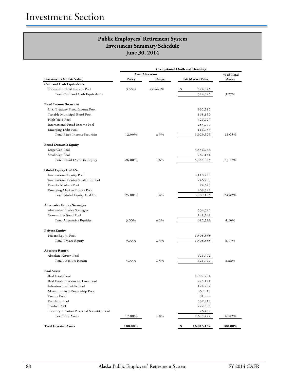|                                              |         | <b>Asset Allocation</b> |                        | % of Total |
|----------------------------------------------|---------|-------------------------|------------------------|------------|
| <b>Investments (at Fair Value)</b>           | Policy  | Range                   | Fair Market Value      | Assets     |
| <b>Cash and Cash Equivalents</b>             |         |                         |                        |            |
| Short-term Fixed Income Pool                 | 3.00%   | $-3\%/+1\%$             | \$<br>524,046          |            |
| Total Cash and Cash Equivalents              |         |                         | 524,046                | 3.27%      |
| <b>Fixed Income Securities</b>               |         |                         |                        |            |
| U.S. Treasury Fixed Income Pool              |         |                         | 932,512                |            |
| Taxable Municipal Bond Pool                  |         |                         |                        |            |
| High Yield Pool                              |         |                         | 168,152<br>426,927     |            |
| International Fixed Income Pool              |         |                         | 285,900                |            |
| Emerging Debt Pool                           |         |                         | 116,034                |            |
| Total Fixed Income Securities                | 12.00%  | $± 5\%$                 | 1,929,525              | 12.05%     |
|                                              |         |                         |                        |            |
| <b>Broad Domestic Equity</b>                 |         |                         |                        |            |
| Large Cap Pool                               |         |                         | 3,556,944              |            |
| Small Cap Pool                               |         |                         | 787,141                |            |
| <b>Total Broad Domestic Equity</b>           | 26.00%  | ± 6%                    | 4,344,085              | 27.12%     |
| Global Equity Ex-U.S.                        |         |                         |                        |            |
| International Equity Pool                    |         |                         | 3,118,253              |            |
| International Equity Small Cap Pool          |         |                         | 246,738                |            |
| <b>Frontier Markets Pool</b>                 |         |                         | 74,623                 |            |
| <b>Emerging Markets Equity Pool</b>          |         |                         | 469,542                |            |
| Total Global Equity Ex-U.S.                  | 25.00%  | ±4%                     | 3,909,156              | 24.42%     |
| <b>Alternative Equity Strategies</b>         |         |                         |                        |            |
| Alternative Equity Strategies                |         |                         | 534,340                |            |
| Convertible Bond Pool                        |         |                         | 148,248                |            |
| Total Alternative Equities                   | 3.00%   | $± 2\%$                 | 682,588                | 4.26%      |
|                                              |         |                         |                        |            |
| <b>Private Equity</b>                        |         |                         |                        |            |
| Private Equity Pool<br>Total Private Equity  | 9.00%   | $± 5\%$                 | 1,308,538<br>1,308,538 | 8.17%      |
|                                              |         |                         |                        |            |
| <b>Absolute Return</b>                       |         |                         |                        |            |
| Absolute Return Pool                         |         |                         | 621,792                |            |
| Total Absolute Return                        | 5.00%   | ±4%                     | 621,792                | 3.88%      |
| <b>Real Assets</b>                           |         |                         |                        |            |
| Real Estate Pool                             |         |                         | 1,007,781              |            |
| Real Estate Investment Trust Pool            |         |                         | 275,121                |            |
| Infrastructure Public Pool                   |         |                         | 124,797                |            |
| Master Limited Partnership Pool              |         |                         | 369,915                |            |
| Energy Pool                                  |         |                         | 81,000                 |            |
| Farmland Pool                                |         |                         | 537,818                |            |
| Timber Pool                                  |         |                         | 272,505                |            |
| Treasury Inflation Protected Securities Pool |         |                         | 26,485                 |            |
| <b>Total Real Assets</b>                     | 17.00%  | $± 8\%$                 | 2,695,422              | 16.83%     |
| <b>Total Invested Assets</b>                 | 100.00% |                         | \$<br>16,015,152       | 100.00%    |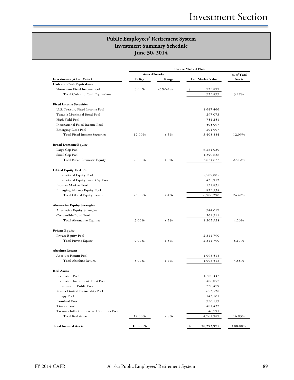|                                                | <b>Asset Allocation</b> |             |                   | % of Total |
|------------------------------------------------|-------------------------|-------------|-------------------|------------|
| <b>Investments (at Fair Value)</b>             | Policy                  | Range       | Fair Market Value | Assets     |
| <b>Cash and Cash Equivalents</b>               |                         |             |                   |            |
| Short-term Fixed Income Pool                   | 3.00%                   | $-3\%/+1\%$ | \$<br>925,899     |            |
| Total Cash and Cash Equivalents                |                         |             | 925,899           | 3.27%      |
| <b>Fixed Income Securities</b>                 |                         |             |                   |            |
| U.S. Treasury Fixed Income Pool                |                         |             | 1,647,466         |            |
|                                                |                         |             | 297,073           |            |
| Taxable Municipal Bond Pool<br>High Yield Pool |                         |             | 754,251           |            |
| International Fixed Income Pool                |                         |             | 505,097           |            |
| <b>Emerging Debt Pool</b>                      |                         |             | 204,997           |            |
| Total Fixed Income Securities                  | 12.00%                  | $± 5\%$     | 3,408,884         | 12.05%     |
|                                                |                         |             |                   |            |
| <b>Broad Domestic Equity</b>                   |                         |             |                   |            |
| Large Cap Pool                                 |                         |             | 6,284,039         |            |
| Small Cap Pool                                 |                         |             | 1,390,638         |            |
| <b>Total Broad Domestic Equity</b>             | 26.00%                  | ± 6%        | 7,674,677         | 27.12%     |
| Global Equity Ex-U.S.                          |                         |             |                   |            |
| <b>International Equity Pool</b>               |                         |             | 5,509,005         |            |
| International Equity Small Cap Pool            |                         |             | 435,912           |            |
| Frontier Markets Pool                          |                         |             | 131,835           |            |
| <b>Emerging Markets Equity Pool</b>            |                         |             | 829,538           |            |
| Total Global Equity Ex-U.S.                    | 25.00%                  | ±4%         | 6,906,290         | 24.42%     |
| <b>Alternative Equity Strategies</b>           |                         |             |                   |            |
| Alternative Equity Strategies                  |                         |             | 944,017           |            |
| Convertible Bond Pool                          |                         |             | 261,911           |            |
| Total Alternative Equities                     | 3.00%                   | $± 2\%$     | 1,205,928         | 4.26%      |
|                                                |                         |             |                   |            |
| <b>Private Equity</b>                          |                         |             |                   |            |
| Private Equity Pool                            |                         |             | 2,311,790         |            |
| Total Private Equity                           | 9.00%                   | $± 5\%$     | 2,311,790         | 8.17%      |
| <b>Absolute Return</b>                         |                         |             |                   |            |
| Absolute Return Pool                           |                         |             | 1,098,518         |            |
| Total Absolute Return                          | 5.00%                   | ±4%         | 1,098,518         | 3.88%      |
| <b>Real Assets</b>                             |                         |             |                   |            |
| Real Estate Pool                               |                         |             | 1,780,442         |            |
| Real Estate Investment Trust Pool              |                         |             | 486,057           |            |
| Infrastructure Public Pool                     |                         |             | 220,479           |            |
| Master Limited Partnership Pool                |                         |             | 653,528           |            |
| <b>Energy Pool</b>                             |                         |             | 143,101           |            |
| Farmland Pool                                  |                         |             | 950,159           |            |
| Timber Pool                                    |                         |             | 481,432           |            |
| Treasury Inflation Protected Securities Pool   |                         |             | 46,791            |            |
| <b>Total Real Assets</b>                       | 17.00%                  | $± 8\%$     | 4,761,989         | 16.83%     |
| <b>Total Invested Assets</b>                   |                         |             |                   |            |
|                                                | 100.00%                 |             | \$<br>28,293,975  | 100.00%    |